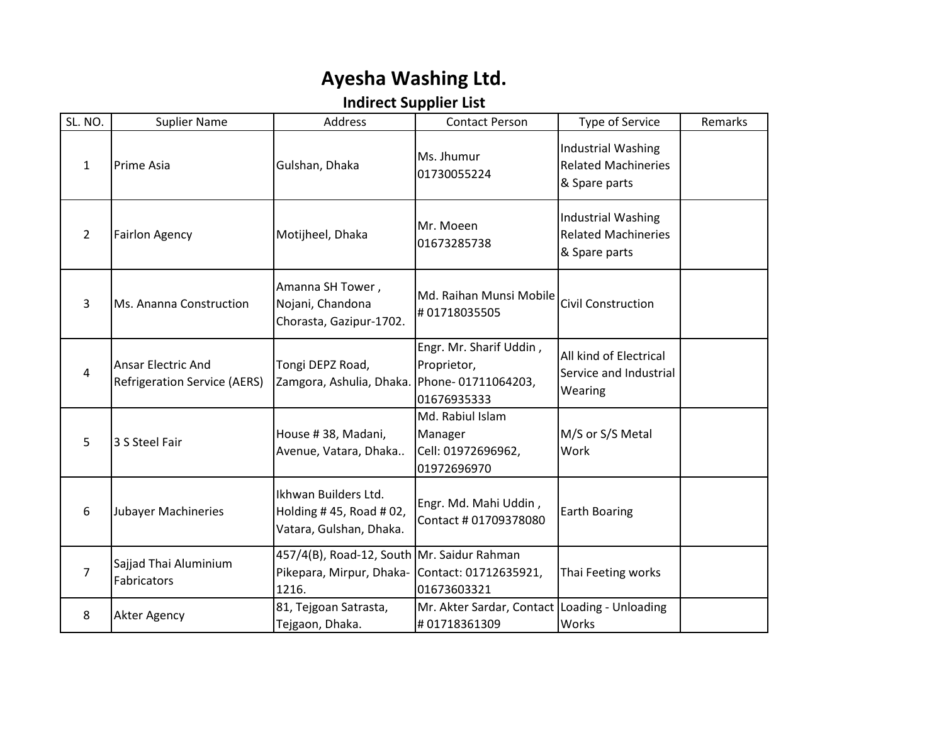## **Ayesha Washing Ltd.**

## **Indirect Supplier List**

| SL. NO.        | <b>Suplier Name</b>                                              | Address                                                                         | <b>Contact Person</b>                                            | Type of Service                                                          | Remarks |
|----------------|------------------------------------------------------------------|---------------------------------------------------------------------------------|------------------------------------------------------------------|--------------------------------------------------------------------------|---------|
| $\mathbf{1}$   | Prime Asia                                                       | Gulshan, Dhaka                                                                  | Ms. Jhumur<br>01730055224                                        | <b>Industrial Washing</b><br><b>Related Machineries</b><br>& Spare parts |         |
| $\overline{2}$ | <b>Fairlon Agency</b>                                            | Motijheel, Dhaka                                                                | Mr. Moeen<br>01673285738                                         | <b>Industrial Washing</b><br><b>Related Machineries</b><br>& Spare parts |         |
| 3              | Ms. Ananna Construction                                          | Amanna SH Tower,<br>Nojani, Chandona<br>Chorasta, Gazipur-1702.                 | Md. Raihan Munsi Mobile<br>#01718035505                          | <b>Civil Construction</b>                                                |         |
| 4              | <b>Ansar Electric And</b><br><b>Refrigeration Service (AERS)</b> | Tongi DEPZ Road,<br>Zamgora, Ashulia, Dhaka. Phone-01711064203,                 | Engr. Mr. Sharif Uddin,<br>Proprietor,<br>01676935333            | All kind of Electrical<br>Service and Industrial<br>Wearing              |         |
| 5              | 3 S Steel Fair                                                   | House #38, Madani,<br>Avenue, Vatara, Dhaka                                     | Md. Rabiul Islam<br>Manager<br>Cell: 01972696962,<br>01972696970 | M/S or S/S Metal<br>Work                                                 |         |
| 6              | Jubayer Machineries                                              | Ikhwan Builders Ltd.<br>Holding #45, Road #02,<br>Vatara, Gulshan, Dhaka.       | Engr. Md. Mahi Uddin,<br>Contact # 01709378080                   | <b>Earth Boaring</b>                                                     |         |
| $\overline{7}$ | Sajjad Thai Aluminium<br>Fabricators                             | 457/4(B), Road-12, South Mr. Saidur Rahman<br>Pikepara, Mirpur, Dhaka-<br>1216. | Contact: 01712635921,<br>01673603321                             | Thai Feeting works                                                       |         |
| 8              | Akter Agency                                                     | 81, Tejgoan Satrasta,<br>Tejgaon, Dhaka.                                        | Mr. Akter Sardar, Contact Loading - Unloading<br>#01718361309    | Works                                                                    |         |